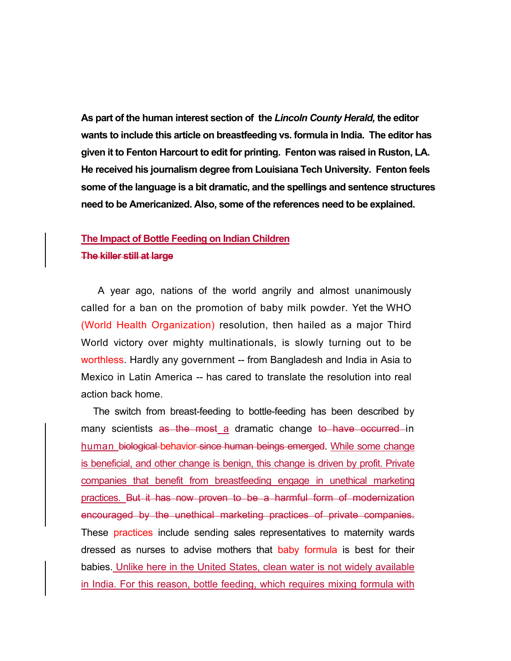**As part of the human interest section of the** *Lincoln County Herald,* **the editor wants to include this article on breastfeeding vs. formula in India. The editor has given it to Fenton Harcourt to edit for printing. Fenton was raised in Ruston, LA. He received his journalism degree from Louisiana Tech University. Fenton feels some of the language is a bit dramatic, and the spellings and sentence structures need to be Americanized. Also, some of the references need to be explained.** 

## **The Impact of Bottle Feeding on Indian Children**

## **The killer still at large**

 A year ago, nations of the world angrily and almost unanimously called for a ban on the promotion of baby milk powder. Yet the WHO (World Health Organization) resolution, then hailed as a major Third World victory over mighty multinationals, is slowly turning out to be worthless. Hardly any government -- from Bangladesh and India in Asia to Mexico in Latin America -- has cared to translate the resolution into real action back home.

The switch from breast-feeding to bottle-feeding has been described by many scientists as the most a dramatic change to have occurred in human biological behavior since human beings emerged. While some change is beneficial, and other change is benign, this change is driven by profit. Private companies that benefit from breastfeeding engage in unethical marketing practices. But it has now proven to be a harmful form of modernization encouraged by the unethical marketing practices of private companies. These practices include sending sales representatives to maternity wards dressed as nurses to advise mothers that baby formula is best for their babies. Unlike here in the United States, clean water is not widely available in India. For this reason, bottle feeding, which requires mixing formula with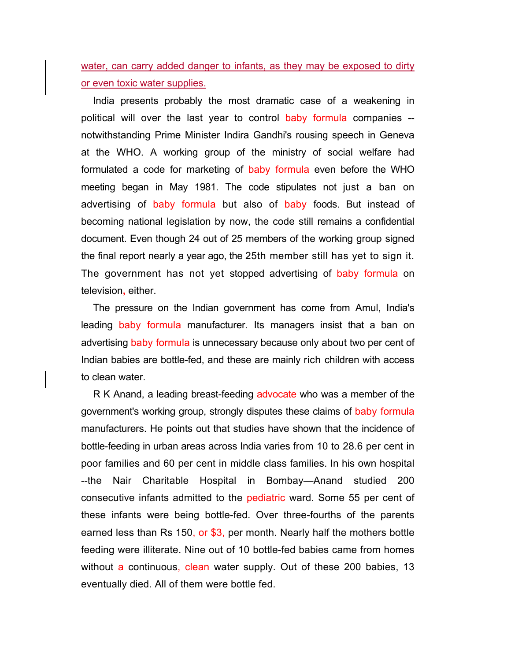water, can carry added danger to infants, as they may be exposed to dirty or even toxic water supplies.

India presents probably the most dramatic case of a weakening in political will over the last year to control baby formula companies - notwithstanding Prime Minister Indira Gandhi's rousing speech in Geneva at the WHO. A working group of the ministry of social welfare had formulated a code for marketing of baby formula even before the WHO meeting began in May 1981. The code stipulates not just a ban on advertising of baby formula but also of baby foods. But instead of becoming national legislation by now, the code still remains a confidential document. Even though 24 out of 25 members of the working group signed the final report nearly a year ago, the 25th member still has yet to sign it. The government has not yet stopped advertising of baby formula on television**,** either.

The pressure on the Indian government has come from Amul, India's leading baby formula manufacturer. Its managers insist that a ban on advertising baby formula is unnecessary because only about two per cent of Indian babies are bottle-fed, and these are mainly rich children with access to clean water.

R K Anand, a leading breast-feeding advocate who was a member of the government's working group, strongly disputes these claims of baby formula manufacturers. He points out that studies have shown that the incidence of bottle-feeding in urban areas across India varies from 10 to 28.6 per cent in poor families and 60 per cent in middle class families. In his own hospital --the Nair Charitable Hospital in Bombay—Anand studied 200 consecutive infants admitted to the pediatric ward. Some 55 per cent of these infants were being bottle-fed. Over three-fourths of the parents earned less than Rs 150, or \$3, per month. Nearly half the mothers bottle feeding were illiterate. Nine out of 10 bottle-fed babies came from homes without a continuous, clean water supply. Out of these 200 babies, 13 eventually died. All of them were bottle fed.